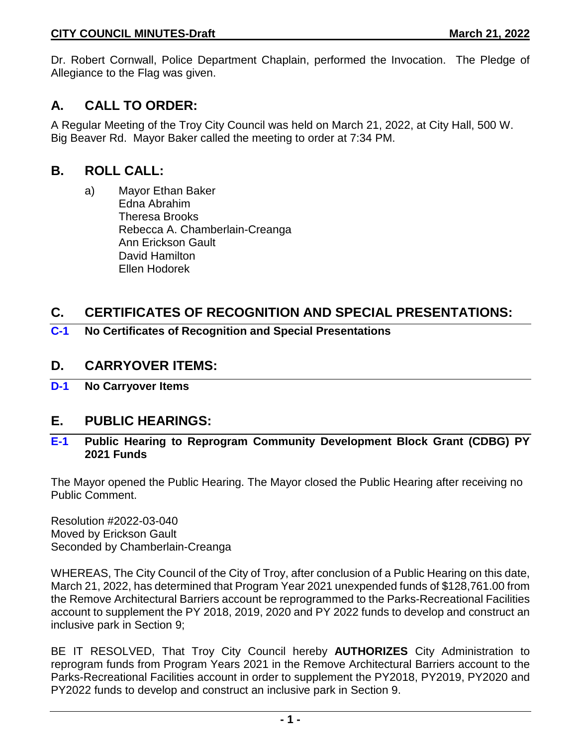Dr. Robert Cornwall, Police Department Chaplain, performed the Invocation. The Pledge of Allegiance to the Flag was given.

# **A. CALL TO ORDER:**

A Regular Meeting of the Troy City Council was held on March 21, 2022, at City Hall, 500 W. Big Beaver Rd. Mayor Baker called the meeting to order at 7:34 PM.

# **B. ROLL CALL:**

a) Mayor Ethan Baker Edna Abrahim Theresa Brooks Rebecca A. Chamberlain-Creanga Ann Erickson Gault David Hamilton Ellen Hodorek

# **C. CERTIFICATES OF RECOGNITION AND SPECIAL PRESENTATIONS:**

**C-1 No Certificates of Recognition and Special Presentations**

### **D. CARRYOVER ITEMS:**

**D-1 No Carryover Items**

### **E. PUBLIC HEARINGS:**

#### **E-1 Public Hearing to Reprogram Community Development Block Grant (CDBG) PY 2021 Funds**

The Mayor opened the Public Hearing. The Mayor closed the Public Hearing after receiving no Public Comment.

Resolution #2022-03-040 Moved by Erickson Gault Seconded by Chamberlain-Creanga

WHEREAS, The City Council of the City of Troy, after conclusion of a Public Hearing on this date, March 21, 2022, has determined that Program Year 2021 unexpended funds of \$128,761.00 from the Remove Architectural Barriers account be reprogrammed to the Parks-Recreational Facilities account to supplement the PY 2018, 2019, 2020 and PY 2022 funds to develop and construct an inclusive park in Section 9;

BE IT RESOLVED, That Troy City Council hereby **AUTHORIZES** City Administration to reprogram funds from Program Years 2021 in the Remove Architectural Barriers account to the Parks-Recreational Facilities account in order to supplement the PY2018, PY2019, PY2020 and PY2022 funds to develop and construct an inclusive park in Section 9.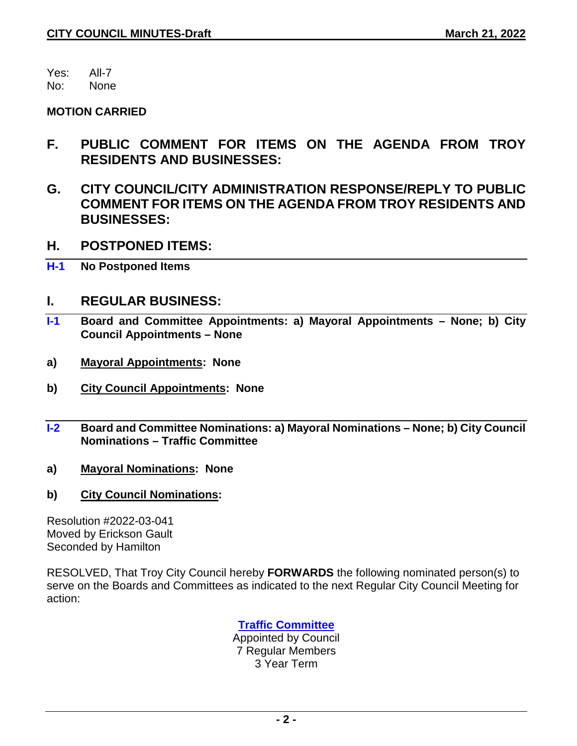Yes: All-7

No: None

#### **MOTION CARRIED**

- **F. PUBLIC COMMENT FOR ITEMS ON THE AGENDA FROM TROY RESIDENTS AND BUSINESSES:**
- **G. CITY COUNCIL/CITY ADMINISTRATION RESPONSE/REPLY TO PUBLIC COMMENT FOR ITEMS ON THE AGENDA FROM TROY RESIDENTS AND BUSINESSES:**
- **H. POSTPONED ITEMS:**
- **H-1 No Postponed Items**

### **I. REGULAR BUSINESS:**

- **I-1 Board and Committee Appointments: a) Mayoral Appointments – None; b) City Council Appointments – None**
- **a) Mayoral Appointments: None**
- **b) City Council Appointments: None**
- **I-2 Board and Committee Nominations: a) Mayoral Nominations – None; b) City Council Nominations – Traffic Committee**
- **a) Mayoral Nominations: None**
- **b) City Council Nominations:**

Resolution #2022-03-041 Moved by Erickson Gault Seconded by Hamilton

RESOLVED, That Troy City Council hereby **FORWARDS** the following nominated person(s) to serve on the Boards and Committees as indicated to the next Regular City Council Meeting for action:

### **Traffic Committee**

Appointed by Council 7 Regular Members 3 Year Term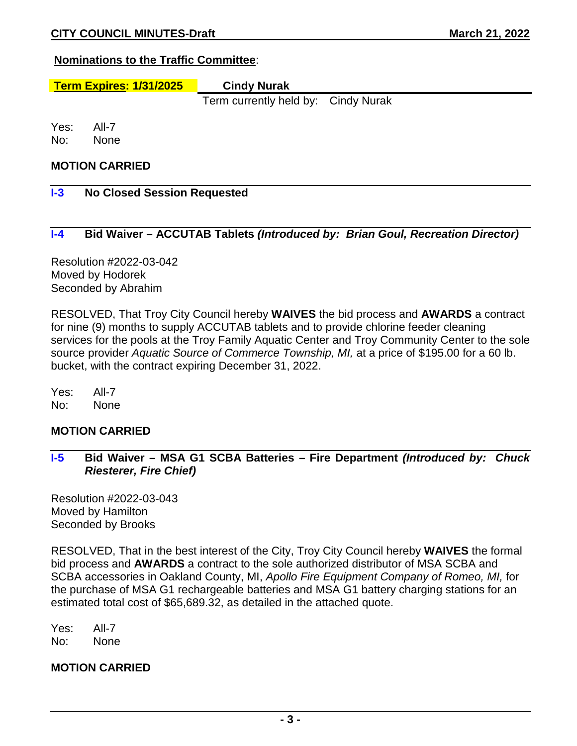#### **Nominations to the Traffic Committee**:

# **Term Expires: 1/31/2025 Cindy Nurak**

Term currently held by: Cindy Nurak

Yes: All-7 No: None

#### **MOTION CARRIED**

#### **I-3 No Closed Session Requested**

#### **I-4 Bid Waiver – ACCUTAB Tablets** *(Introduced by: Brian Goul, Recreation Director)*

Resolution #2022-03-042 Moved by Hodorek Seconded by Abrahim

RESOLVED, That Troy City Council hereby **WAIVES** the bid process and **AWARDS** a contract for nine (9) months to supply ACCUTAB tablets and to provide chlorine feeder cleaning services for the pools at the Troy Family Aquatic Center and Troy Community Center to the sole source provider *Aquatic Source of Commerce Township, MI,* at a price of \$195.00 for a 60 lb. bucket, with the contract expiring December 31, 2022.

Yes: All-7 No: None

#### **MOTION CARRIED**

**I-5 Bid Waiver – MSA G1 SCBA Batteries – Fire Department** *(Introduced by: Chuck Riesterer, Fire Chief)*

Resolution #2022-03-043 Moved by Hamilton Seconded by Brooks

RESOLVED, That in the best interest of the City, Troy City Council hereby **WAIVES** the formal bid process and **AWARDS** a contract to the sole authorized distributor of MSA SCBA and SCBA accessories in Oakland County, MI, *Apollo Fire Equipment Company of Romeo, MI,* for the purchase of MSA G1 rechargeable batteries and MSA G1 battery charging stations for an estimated total cost of \$65,689.32, as detailed in the attached quote.

Yes: All-7 No: None

#### **MOTION CARRIED**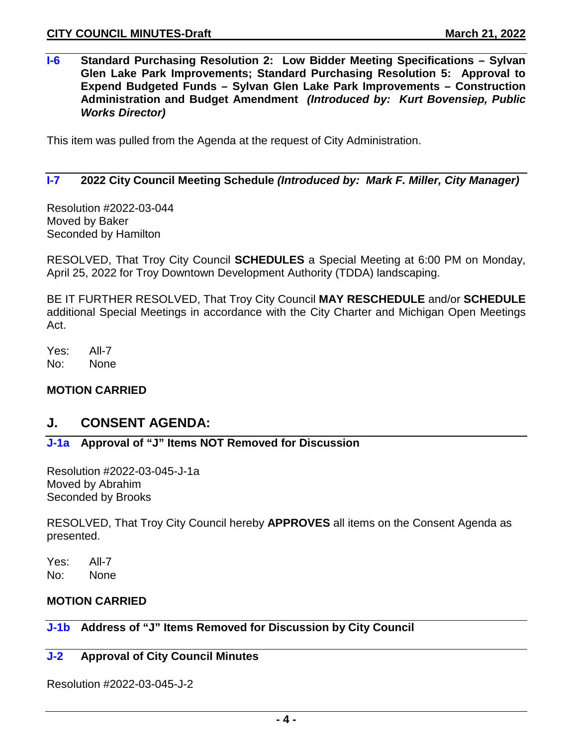**I-6 Standard Purchasing Resolution 2: Low Bidder Meeting Specifications – Sylvan Glen Lake Park Improvements; Standard Purchasing Resolution 5: Approval to Expend Budgeted Funds – Sylvan Glen Lake Park Improvements – Construction Administration and Budget Amendment** *(Introduced by: Kurt Bovensiep, Public Works Director)*

This item was pulled from the Agenda at the request of City Administration.

#### **I-7 2022 City Council Meeting Schedule** *(Introduced by: Mark F. Miller, City Manager)*

Resolution #2022-03-044 Moved by Baker Seconded by Hamilton

RESOLVED, That Troy City Council **SCHEDULES** a Special Meeting at 6:00 PM on Monday, April 25, 2022 for Troy Downtown Development Authority (TDDA) landscaping.

BE IT FURTHER RESOLVED, That Troy City Council **MAY RESCHEDULE** and/or **SCHEDULE** additional Special Meetings in accordance with the City Charter and Michigan Open Meetings Act.

Yes: All-7 No: None

#### **MOTION CARRIED**

### **J. CONSENT AGENDA:**

### **J-1a Approval of "J" Items NOT Removed for Discussion**

Resolution #2022-03-045-J-1a Moved by Abrahim Seconded by Brooks

RESOLVED, That Troy City Council hereby **APPROVES** all items on the Consent Agenda as presented.

Yes: All-7 No: None

#### **MOTION CARRIED**

## **J-1b Address of "J" Items Removed for Discussion by City Council**

#### **J-2 Approval of City Council Minutes**

Resolution #2022-03-045-J-2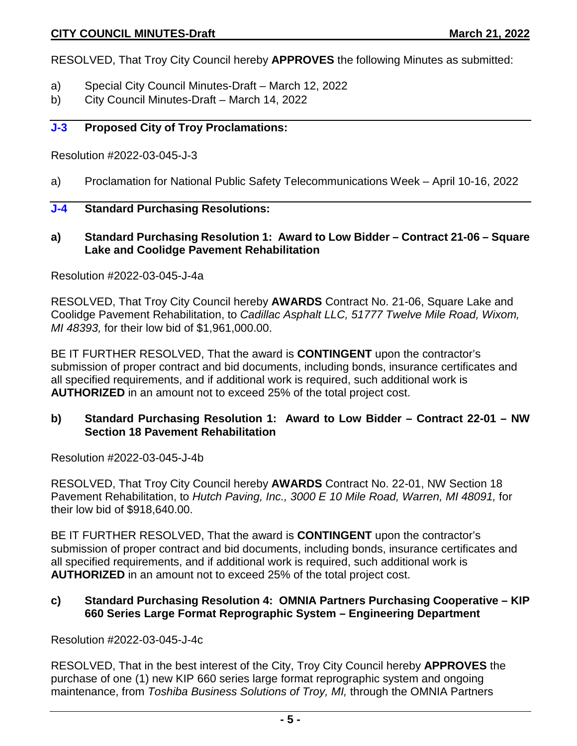RESOLVED, That Troy City Council hereby **APPROVES** the following Minutes as submitted:

- a) Special City Council Minutes-Draft March 12, 2022
- b) City Council Minutes-Draft March 14, 2022

#### **J-3 Proposed City of Troy Proclamations:**

Resolution #2022-03-045-J-3

a) Proclamation for National Public Safety Telecommunications Week – April 10-16, 2022

#### **J-4 Standard Purchasing Resolutions:**

**a) Standard Purchasing Resolution 1: Award to Low Bidder – Contract 21-06 – Square Lake and Coolidge Pavement Rehabilitation**

Resolution #2022-03-045-J-4a

RESOLVED, That Troy City Council hereby **AWARDS** Contract No. 21-06, Square Lake and Coolidge Pavement Rehabilitation, to *Cadillac Asphalt LLC, 51777 Twelve Mile Road, Wixom, MI 48393,* for their low bid of \$1,961,000.00.

BE IT FURTHER RESOLVED, That the award is **CONTINGENT** upon the contractor's submission of proper contract and bid documents, including bonds, insurance certificates and all specified requirements, and if additional work is required, such additional work is **AUTHORIZED** in an amount not to exceed 25% of the total project cost.

#### **b) Standard Purchasing Resolution 1: Award to Low Bidder – Contract 22-01 – NW Section 18 Pavement Rehabilitation**

Resolution #2022-03-045-J-4b

RESOLVED, That Troy City Council hereby **AWARDS** Contract No. 22-01, NW Section 18 Pavement Rehabilitation, to *Hutch Paving, Inc., 3000 E 10 Mile Road, Warren, MI 48091,* for their low bid of \$918,640.00.

BE IT FURTHER RESOLVED, That the award is **CONTINGENT** upon the contractor's submission of proper contract and bid documents, including bonds, insurance certificates and all specified requirements, and if additional work is required, such additional work is **AUTHORIZED** in an amount not to exceed 25% of the total project cost.

#### **c) Standard Purchasing Resolution 4: OMNIA Partners Purchasing Cooperative – KIP 660 Series Large Format Reprographic System – Engineering Department**

Resolution #2022-03-045-J-4c

RESOLVED, That in the best interest of the City, Troy City Council hereby **APPROVES** the purchase of one (1) new KIP 660 series large format reprographic system and ongoing maintenance, from *Toshiba Business Solutions of Troy, MI,* through the OMNIA Partners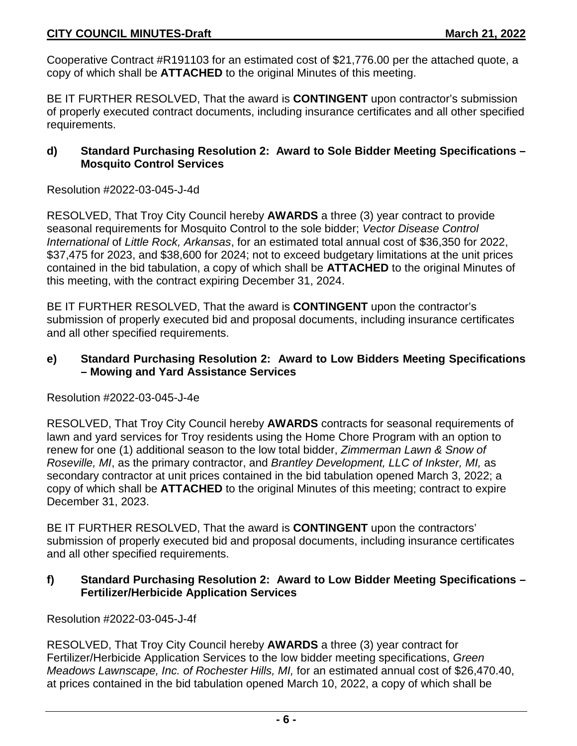Cooperative Contract #R191103 for an estimated cost of \$21,776.00 per the attached quote, a copy of which shall be **ATTACHED** to the original Minutes of this meeting.

BE IT FURTHER RESOLVED, That the award is **CONTINGENT** upon contractor's submission of properly executed contract documents, including insurance certificates and all other specified requirements.

#### **d) Standard Purchasing Resolution 2: Award to Sole Bidder Meeting Specifications – Mosquito Control Services**

Resolution #2022-03-045-J-4d

RESOLVED, That Troy City Council hereby **AWARDS** a three (3) year contract to provide seasonal requirements for Mosquito Control to the sole bidder; *Vector Disease Control International* of *Little Rock, Arkansas*, for an estimated total annual cost of \$36,350 for 2022, \$37,475 for 2023, and \$38,600 for 2024; not to exceed budgetary limitations at the unit prices contained in the bid tabulation, a copy of which shall be **ATTACHED** to the original Minutes of this meeting, with the contract expiring December 31, 2024.

BE IT FURTHER RESOLVED, That the award is **CONTINGENT** upon the contractor's submission of properly executed bid and proposal documents, including insurance certificates and all other specified requirements.

### **e) Standard Purchasing Resolution 2: Award to Low Bidders Meeting Specifications – Mowing and Yard Assistance Services**

#### Resolution #2022-03-045-J-4e

RESOLVED, That Troy City Council hereby **AWARDS** contracts for seasonal requirements of lawn and yard services for Troy residents using the Home Chore Program with an option to renew for one (1) additional season to the low total bidder, *Zimmerman Lawn & Snow of Roseville, MI*, as the primary contractor, and *Brantley Development, LLC of Inkster, MI,* as secondary contractor at unit prices contained in the bid tabulation opened March 3, 2022; a copy of which shall be **ATTACHED** to the original Minutes of this meeting; contract to expire December 31, 2023.

BE IT FURTHER RESOLVED, That the award is **CONTINGENT** upon the contractors' submission of properly executed bid and proposal documents, including insurance certificates and all other specified requirements.

#### **f) Standard Purchasing Resolution 2: Award to Low Bidder Meeting Specifications – Fertilizer/Herbicide Application Services**

Resolution #2022-03-045-J-4f

RESOLVED, That Troy City Council hereby **AWARDS** a three (3) year contract for Fertilizer/Herbicide Application Services to the low bidder meeting specifications, *Green Meadows Lawnscape, Inc. of Rochester Hills, MI,* for an estimated annual cost of \$26,470.40, at prices contained in the bid tabulation opened March 10, 2022, a copy of which shall be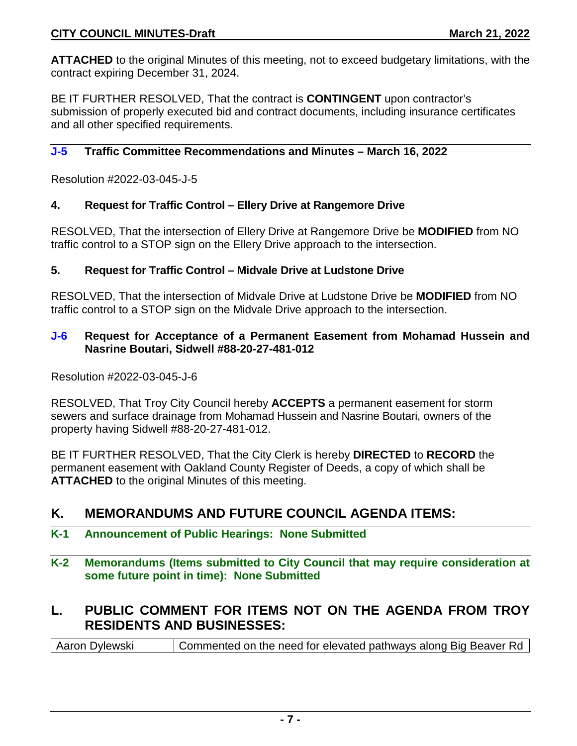**ATTACHED** to the original Minutes of this meeting, not to exceed budgetary limitations, with the contract expiring December 31, 2024.

BE IT FURTHER RESOLVED, That the contract is **CONTINGENT** upon contractor's submission of properly executed bid and contract documents, including insurance certificates and all other specified requirements.

#### **J-5 Traffic Committee Recommendations and Minutes – March 16, 2022**

Resolution #2022-03-045-J-5

#### **4. Request for Traffic Control – Ellery Drive at Rangemore Drive**

RESOLVED, That the intersection of Ellery Drive at Rangemore Drive be **MODIFIED** from NO traffic control to a STOP sign on the Ellery Drive approach to the intersection.

#### **5. Request for Traffic Control – Midvale Drive at Ludstone Drive**

RESOLVED, That the intersection of Midvale Drive at Ludstone Drive be **MODIFIED** from NO traffic control to a STOP sign on the Midvale Drive approach to the intersection.

#### **J-6 Request for Acceptance of a Permanent Easement from Mohamad Hussein and Nasrine Boutari, Sidwell #88-20-27-481-012**

Resolution #2022-03-045-J-6

RESOLVED, That Troy City Council hereby **ACCEPTS** a permanent easement for storm sewers and surface drainage from Mohamad Hussein and Nasrine Boutari, owners of the property having Sidwell #88-20-27-481-012.

BE IT FURTHER RESOLVED, That the City Clerk is hereby **DIRECTED** to **RECORD** the permanent easement with Oakland County Register of Deeds, a copy of which shall be **ATTACHED** to the original Minutes of this meeting.

### **K. MEMORANDUMS AND FUTURE COUNCIL AGENDA ITEMS:**

#### **K-1 Announcement of Public Hearings: None Submitted**

**K-2 Memorandums (Items submitted to City Council that may require consideration at some future point in time): None Submitted**

# **L. PUBLIC COMMENT FOR ITEMS NOT ON THE AGENDA FROM TROY RESIDENTS AND BUSINESSES:**

Aaron Dylewski Commented on the need for elevated pathways along Big Beaver Rd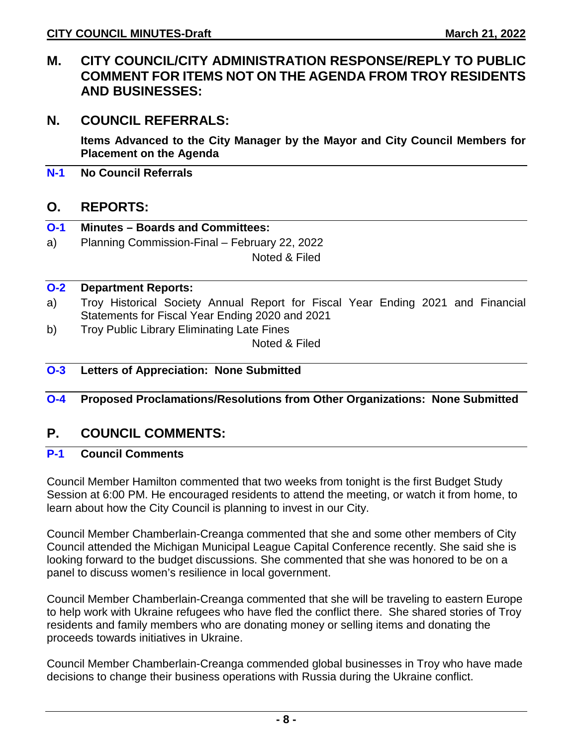## **M. CITY COUNCIL/CITY ADMINISTRATION RESPONSE/REPLY TO PUBLIC COMMENT FOR ITEMS NOT ON THE AGENDA FROM TROY RESIDENTS AND BUSINESSES:**

### **N. COUNCIL REFERRALS:**

**Items Advanced to the City Manager by the Mayor and City Council Members for Placement on the Agenda**

**N-1 No Council Referrals**

### **O. REPORTS:**

- **O-1 Minutes – Boards and Committees:**
- a) Planning Commission-Final February 22, 2022

Noted & Filed

#### **O-2 Department Reports:**

- a) Troy Historical Society Annual Report for Fiscal Year Ending 2021 and Financial Statements for Fiscal Year Ending 2020 and 2021
- b) Troy Public Library Eliminating Late Fines

Noted & Filed

### **O-3 Letters of Appreciation: None Submitted**

#### **O-4 Proposed Proclamations/Resolutions from Other Organizations: None Submitted**

### **P. COUNCIL COMMENTS:**

### **P-1 Council Comments**

Council Member Hamilton commented that two weeks from tonight is the first Budget Study Session at 6:00 PM. He encouraged residents to attend the meeting, or watch it from home, to learn about how the City Council is planning to invest in our City.

Council Member Chamberlain-Creanga commented that she and some other members of City Council attended the Michigan Municipal League Capital Conference recently. She said she is looking forward to the budget discussions. She commented that she was honored to be on a panel to discuss women's resilience in local government.

Council Member Chamberlain-Creanga commented that she will be traveling to eastern Europe to help work with Ukraine refugees who have fled the conflict there. She shared stories of Troy residents and family members who are donating money or selling items and donating the proceeds towards initiatives in Ukraine.

Council Member Chamberlain-Creanga commended global businesses in Troy who have made decisions to change their business operations with Russia during the Ukraine conflict.